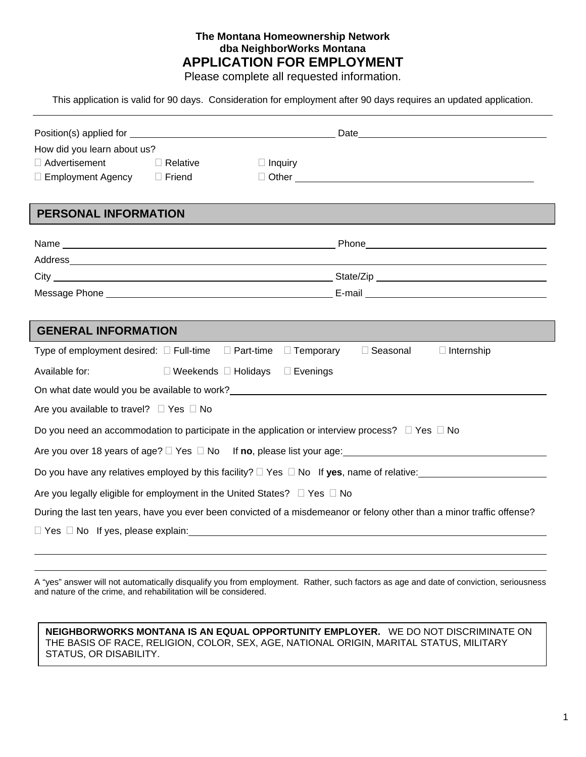# **The Montana Homeownership Network dba NeighborWorks Montana APPLICATION FOR EMPLOYMENT**

Please complete all requested information.

This application is valid for 90 days. Consideration for employment after 90 days requires an updated application.

| How did you learn about us?                                                                                                                                                                                                    |                                 |                  |                                                                                                                                                                                                                                      |                   |  |
|--------------------------------------------------------------------------------------------------------------------------------------------------------------------------------------------------------------------------------|---------------------------------|------------------|--------------------------------------------------------------------------------------------------------------------------------------------------------------------------------------------------------------------------------------|-------------------|--|
| $\Box$ Advertisement                                                                                                                                                                                                           | $\Box$ Relative                 | $\Box$ Inquiry   |                                                                                                                                                                                                                                      |                   |  |
| $\Box$ Employment Agency                                                                                                                                                                                                       | $\Box$ Friend                   |                  | D Other <u>Conservation and the set of the set of the set of the set of the set of the set of the set of the set of the set of the set of the set of the set of the set of the set of the set of the set of the set of the set o</u> |                   |  |
|                                                                                                                                                                                                                                |                                 |                  |                                                                                                                                                                                                                                      |                   |  |
| <b>PERSONAL INFORMATION</b>                                                                                                                                                                                                    |                                 |                  |                                                                                                                                                                                                                                      |                   |  |
|                                                                                                                                                                                                                                |                                 |                  |                                                                                                                                                                                                                                      |                   |  |
|                                                                                                                                                                                                                                |                                 |                  |                                                                                                                                                                                                                                      |                   |  |
|                                                                                                                                                                                                                                |                                 |                  |                                                                                                                                                                                                                                      |                   |  |
|                                                                                                                                                                                                                                |                                 |                  |                                                                                                                                                                                                                                      |                   |  |
|                                                                                                                                                                                                                                |                                 |                  |                                                                                                                                                                                                                                      |                   |  |
| <b>GENERAL INFORMATION</b>                                                                                                                                                                                                     |                                 |                  |                                                                                                                                                                                                                                      |                   |  |
| Type of employment desired: □ Full-time □ Part-time                                                                                                                                                                            |                                 | $\Box$ Temporary | □ Seasonal                                                                                                                                                                                                                           | $\Box$ Internship |  |
| Available for:                                                                                                                                                                                                                 | $\Box$ Weekends $\Box$ Holidays | $\Box$ Evenings  |                                                                                                                                                                                                                                      |                   |  |
| On what date would you be available to work? The contract of the contract of the contract of the contract of the contract of the contract of the contract of the contract of the contract of the contract of the contract of t |                                 |                  |                                                                                                                                                                                                                                      |                   |  |
| Are you available to travel? □ Yes □ No                                                                                                                                                                                        |                                 |                  |                                                                                                                                                                                                                                      |                   |  |
| Do you need an accommodation to participate in the application or interview process? $\Box$ Yes $\Box$ No                                                                                                                      |                                 |                  |                                                                                                                                                                                                                                      |                   |  |
| Are you over 18 years of age? $\Box$ Yes $\Box$ No If no, please list your age:                                                                                                                                                |                                 |                  |                                                                                                                                                                                                                                      |                   |  |
| Do you have any relatives employed by this facility? $\Box$ Yes $\Box$ No If yes, name of relative:                                                                                                                            |                                 |                  |                                                                                                                                                                                                                                      |                   |  |
| Are you legally eligible for employment in the United States? $\Box$ Yes $\Box$ No                                                                                                                                             |                                 |                  |                                                                                                                                                                                                                                      |                   |  |
| During the last ten years, have you ever been convicted of a misdemeanor or felony other than a minor traffic offense?                                                                                                         |                                 |                  |                                                                                                                                                                                                                                      |                   |  |
| $\Box$ Yes $\Box$ No If yes, please explain: $\Box$ Yes $\Box$ Yes $\Box$ No If yes, please explain:                                                                                                                           |                                 |                  |                                                                                                                                                                                                                                      |                   |  |
|                                                                                                                                                                                                                                |                                 |                  |                                                                                                                                                                                                                                      |                   |  |

A "yes" answer will not automatically disqualify you from employment. Rather, such factors as age and date of conviction, seriousness and nature of the crime, and rehabilitation will be considered.

**NEIGHBORWORKS MONTANA IS AN EQUAL OPPORTUNITY EMPLOYER.** WE DO NOT DISCRIMINATE ON THE BASIS OF RACE, RELIGION, COLOR, SEX, AGE, NATIONAL ORIGIN, MARITAL STATUS, MILITARY STATUS, OR DISABILITY.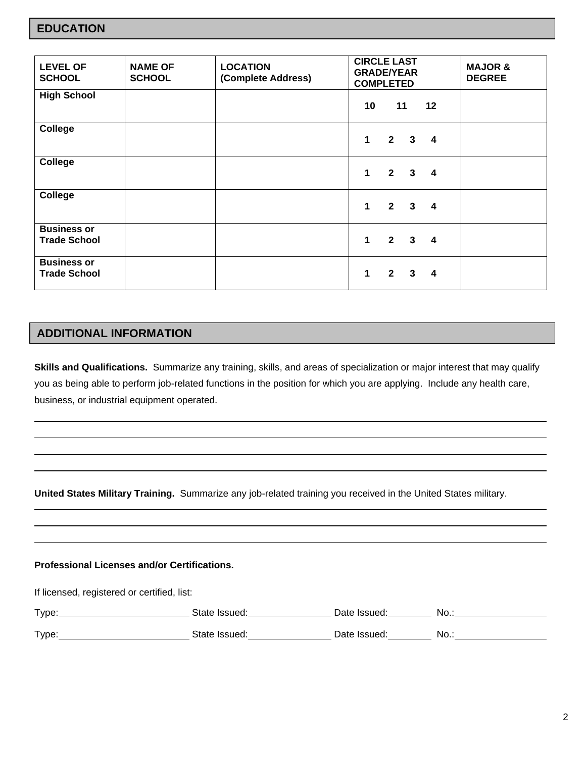| <b>LEVEL OF</b><br><b>SCHOOL</b>          | <b>NAME OF</b><br><b>SCHOOL</b> | <b>LOCATION</b><br>(Complete Address) | <b>CIRCLE LAST</b><br><b>GRADE/YEAR</b><br><b>COMPLETED</b> | <b>MAJOR &amp;</b><br><b>DEGREE</b> |
|-------------------------------------------|---------------------------------|---------------------------------------|-------------------------------------------------------------|-------------------------------------|
| <b>High School</b>                        |                                 |                                       | 11<br>12<br>10 <sup>1</sup>                                 |                                     |
| <b>College</b>                            |                                 |                                       | $2 \quad 3 \quad 4$<br>1                                    |                                     |
| <b>College</b>                            |                                 |                                       | $2 \quad 3$<br>1<br>$\overline{\mathbf{4}}$                 |                                     |
| <b>College</b>                            |                                 |                                       | $\mathbf{1}$<br>$2 \quad 3$<br>$\overline{\mathbf{4}}$      |                                     |
| <b>Business or</b><br><b>Trade School</b> |                                 |                                       | $2 \quad 3 \quad 4$<br>1                                    |                                     |
| <b>Business or</b><br><b>Trade School</b> |                                 |                                       | $2 \quad 3$<br>1<br>$\overline{4}$                          |                                     |

## **ADDITIONAL INFORMATION**

**Skills and Qualifications.** Summarize any training, skills, and areas of specialization or major interest that may qualify you as being able to perform job-related functions in the position for which you are applying. Include any health care, business, or industrial equipment operated.

**United States Military Training.** Summarize any job-related training you received in the United States military.

#### **Professional Licenses and/or Certifications.**

If licensed, registered or certified, list:

| Type: | State Issued: | Date Issued: | No   |
|-------|---------------|--------------|------|
| Type: | State Issued: | Date Issued: | No.: |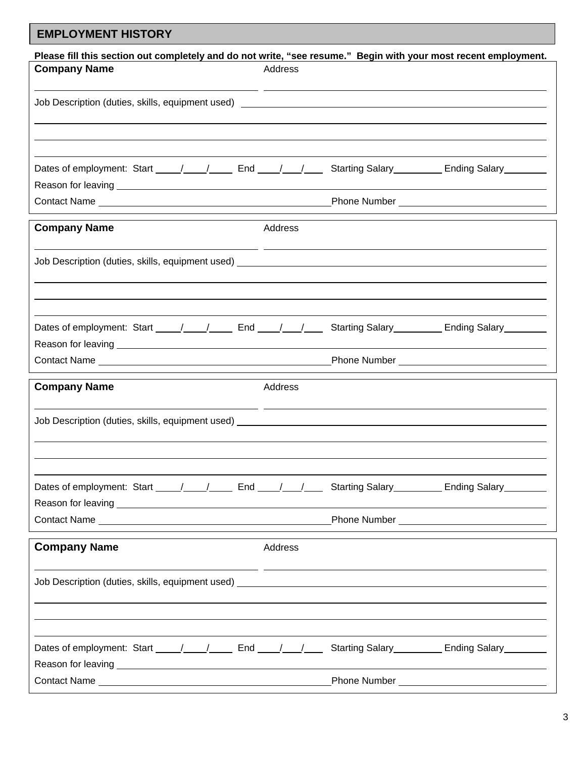# **EMPLOYMENT HISTORY**

| Please fill this section out completely and do not write, "see resume." Begin with your most recent employment.                                                                                                                |         |              |                                         |  |  |
|--------------------------------------------------------------------------------------------------------------------------------------------------------------------------------------------------------------------------------|---------|--------------|-----------------------------------------|--|--|
| <b>Company Name</b>                                                                                                                                                                                                            | Address |              |                                         |  |  |
|                                                                                                                                                                                                                                |         |              |                                         |  |  |
|                                                                                                                                                                                                                                |         |              |                                         |  |  |
|                                                                                                                                                                                                                                |         |              |                                         |  |  |
|                                                                                                                                                                                                                                |         |              |                                         |  |  |
|                                                                                                                                                                                                                                |         |              |                                         |  |  |
|                                                                                                                                                                                                                                |         |              |                                         |  |  |
| Dates of employment: Start _____/_____/______ End _____/_____/ Starting Salary _________ Ending Salary _______                                                                                                                 |         |              |                                         |  |  |
|                                                                                                                                                                                                                                |         |              |                                         |  |  |
|                                                                                                                                                                                                                                |         |              |                                         |  |  |
|                                                                                                                                                                                                                                |         |              |                                         |  |  |
| <b>Company Name</b>                                                                                                                                                                                                            | Address |              |                                         |  |  |
|                                                                                                                                                                                                                                |         |              |                                         |  |  |
|                                                                                                                                                                                                                                |         |              |                                         |  |  |
| Job Description (duties, skills, equipment used) John States and States and States and States and States and S                                                                                                                 |         |              |                                         |  |  |
|                                                                                                                                                                                                                                |         |              |                                         |  |  |
|                                                                                                                                                                                                                                |         |              |                                         |  |  |
|                                                                                                                                                                                                                                |         |              |                                         |  |  |
|                                                                                                                                                                                                                                |         |              |                                         |  |  |
| Dates of employment: Start _____/_____/ _____ End ____/____/ _____ Starting Salary _________ Ending Salary _______                                                                                                             |         |              |                                         |  |  |
|                                                                                                                                                                                                                                |         |              |                                         |  |  |
| Contact Name example and the control of the control of the Phone Number example and the control of the control of the control of the control of the control of the control of the control of the control of the control of the |         |              |                                         |  |  |
|                                                                                                                                                                                                                                |         |              |                                         |  |  |
| <b>Company Name</b>                                                                                                                                                                                                            | Address |              |                                         |  |  |
|                                                                                                                                                                                                                                |         |              |                                         |  |  |
| Job Description (duties, skills, equipment used) Job Description of the United States of the United States of                                                                                                                  |         |              |                                         |  |  |
|                                                                                                                                                                                                                                |         |              |                                         |  |  |
|                                                                                                                                                                                                                                |         |              |                                         |  |  |
|                                                                                                                                                                                                                                |         |              |                                         |  |  |
|                                                                                                                                                                                                                                |         |              |                                         |  |  |
| Dates of employment: Start $\frac{1}{\sqrt{2}}$ / End $\frac{1}{\sqrt{2}}$                                                                                                                                                     |         |              | Starting Salary Ending Salary           |  |  |
|                                                                                                                                                                                                                                |         |              |                                         |  |  |
|                                                                                                                                                                                                                                |         |              |                                         |  |  |
|                                                                                                                                                                                                                                |         |              |                                         |  |  |
| <b>Company Name</b>                                                                                                                                                                                                            | Address |              |                                         |  |  |
|                                                                                                                                                                                                                                |         |              |                                         |  |  |
| Job Description (duties, skills, equipment used) <b>Analyzing and Container and Container and Container</b> and Contain                                                                                                        |         |              |                                         |  |  |
|                                                                                                                                                                                                                                |         |              |                                         |  |  |
|                                                                                                                                                                                                                                |         |              |                                         |  |  |
|                                                                                                                                                                                                                                |         |              |                                         |  |  |
|                                                                                                                                                                                                                                |         |              |                                         |  |  |
| Dates of employment: Start _____/_____/______ End _____/____/____                                                                                                                                                              |         |              | Starting Salary<br><u>Ending Salary</u> |  |  |
|                                                                                                                                                                                                                                |         |              |                                         |  |  |
|                                                                                                                                                                                                                                |         |              |                                         |  |  |
|                                                                                                                                                                                                                                |         | Phone Number |                                         |  |  |